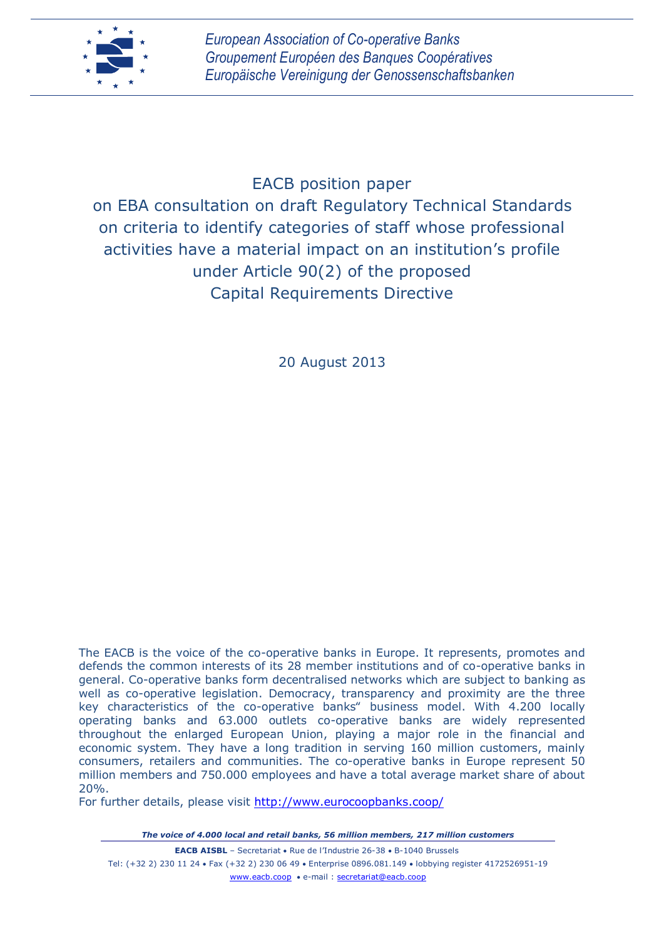

# EACB position paper on EBA consultation on draft Regulatory Technical Standards on criteria to identify categories of staff whose professional activities have a material impact on an institution's profile under Article 90(2) of the proposed Capital Requirements Directive

20 August 2013

The EACB is the voice of the co-operative banks in Europe. It represents, promotes and defends the common interests of its 28 member institutions and of co-operative banks in general. Co-operative banks form decentralised networks which are subject to banking as well as co-operative legislation. Democracy, transparency and proximity are the three key characteristics of the co-operative banks" business model. With 4.200 locally operating banks and 63.000 outlets co-operative banks are widely represented throughout the enlarged European Union, playing a major role in the financial and economic system. They have a long tradition in serving 160 million customers, mainly consumers, retailers and communities. The co-operative banks in Europe represent 50 million members and 750.000 employees and have a total average market share of about 20%.

For further details, please visit<http://www.eurocoopbanks.coop/>

*The voice of 4.000 local and retail banks, 56 million members, 217 million customers*

**EACB AISBL** - Secretariat • Rue de l'Industrie 26-38 • B-1040 Brussels Tel: (+32 2) 230 11 24 Fax (+32 2) 230 06 49 Enterprise 0896.081.149 lobbying register 4172526951-19 www.eacb.coop • e-mail : secretariat@eacb.coop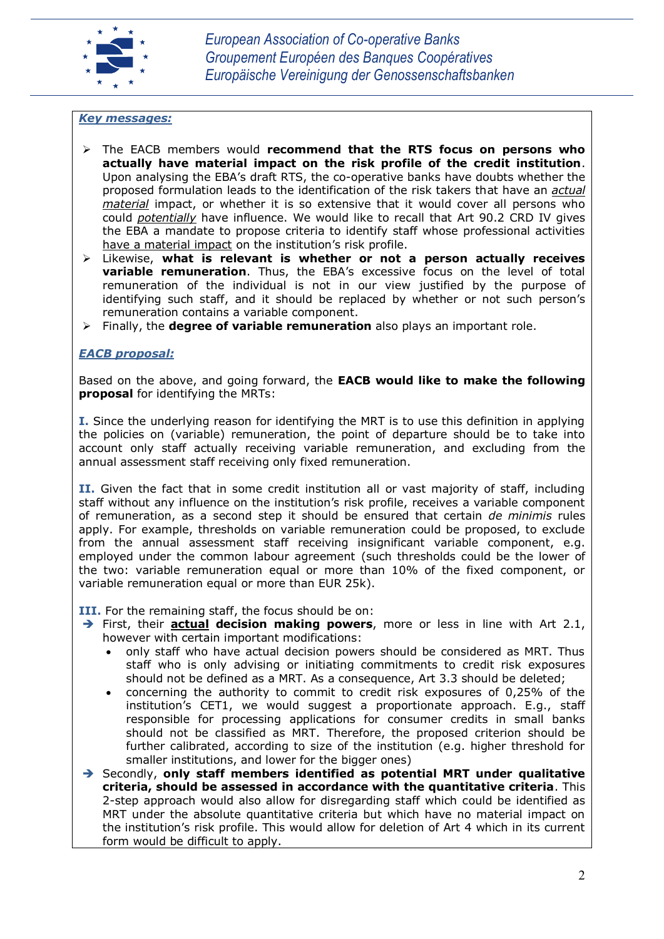

#### *Key messages:*

- The EACB members would **recommend that the RTS focus on persons who actually have material impact on the risk profile of the credit institution**. Upon analysing the EBA's draft RTS, the co-operative banks have doubts whether the proposed formulation leads to the identification of the risk takers that have an *actual material* impact, or whether it is so extensive that it would cover all persons who could *potentially* have influence. We would like to recall that Art 90.2 CRD IV gives the EBA a mandate to propose criteria to identify staff whose professional activities have a material impact on the institution's risk profile.
- Likewise, **what is relevant is whether or not a person actually receives variable remuneration**. Thus, the EBA's excessive focus on the level of total remuneration of the individual is not in our view justified by the purpose of identifying such staff, and it should be replaced by whether or not such person's remuneration contains a variable component.
- Finally, the **degree of variable remuneration** also plays an important role.

## *EACB proposal:*

Based on the above, and going forward, the **EACB would like to make the following proposal** for identifying the MRTs:

I. **I.** Since the underlying reason for identifying the MRT is to use this definition in applying the policies on (variable) remuneration, the point of departure should be to take into account only staff actually receiving variable remuneration, and excluding from the annual assessment staff receiving only fixed remuneration.

II. Given the fact that in some credit institution all or vast majority of staff, including staff without any influence on the institution's risk profile, receives a variable component of remuneration, as a second step it should be ensured that certain *de minimis* rules apply. For example, thresholds on variable remuneration could be proposed, to exclude from the annual assessment staff receiving insignificant variable component, e.g. employed under the common labour agreement (such thresholds could be the lower of the two: variable remuneration equal or more than 10% of the fixed component, or variable remuneration equal or more than EUR 25k).

**III.** For the remaining staff, the focus should be on:

- First, their **actual decision making powers**, more or less in line with Art 2.1, however with certain important modifications:
	- only staff who have actual decision powers should be considered as MRT. Thus staff who is only advising or initiating commitments to credit risk exposures should not be defined as a MRT. As a consequence, Art 3.3 should be deleted;
	- concerning the authority to commit to credit risk exposures of 0,25% of the institution's CET1, we would suggest a proportionate approach. E.g., staff responsible for processing applications for consumer credits in small banks should not be classified as MRT. Therefore, the proposed criterion should be further calibrated, according to size of the institution (e.g. higher threshold for smaller institutions, and lower for the bigger ones)
- Secondly, **only staff members identified as potential MRT under qualitative criteria, should be assessed in accordance with the quantitative criteria**. This 2-step approach would also allow for disregarding staff which could be identified as MRT under the absolute quantitative criteria but which have no material impact on the institution's risk profile. This would allow for deletion of Art 4 which in its current form would be difficult to apply.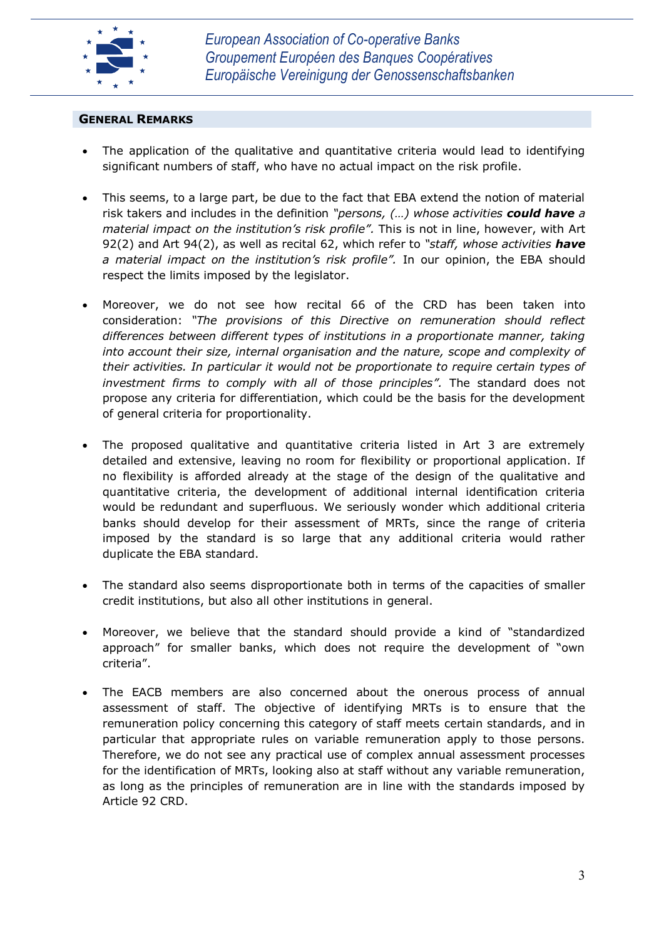

## **GENERAL REMARKS**

- The application of the qualitative and quantitative criteria would lead to identifying significant numbers of staff, who have no actual impact on the risk profile.
- This seems, to a large part, be due to the fact that EBA extend the notion of material risk takers and includes in the definition *"persons, (…) whose activities could have a material impact on the institution's risk profile".* This is not in line, however, with Art 92(2) and Art 94(2), as well as recital 62, which refer to *"staff, whose activities have a material impact on the institution's risk profile".* In our opinion, the EBA should respect the limits imposed by the legislator.
- Moreover, we do not see how recital 66 of the CRD has been taken into consideration: *"The provisions of this Directive on remuneration should reflect differences between different types of institutions in a proportionate manner, taking into account their size, internal organisation and the nature, scope and complexity of their activities. In particular it would not be proportionate to require certain types of investment firms to comply with all of those principles".* The standard does not propose any criteria for differentiation, which could be the basis for the development of general criteria for proportionality.
- The proposed qualitative and quantitative criteria listed in Art 3 are extremely detailed and extensive, leaving no room for flexibility or proportional application. If no flexibility is afforded already at the stage of the design of the qualitative and quantitative criteria, the development of additional internal identification criteria would be redundant and superfluous. We seriously wonder which additional criteria banks should develop for their assessment of MRTs, since the range of criteria imposed by the standard is so large that any additional criteria would rather duplicate the EBA standard.
- The standard also seems disproportionate both in terms of the capacities of smaller credit institutions, but also all other institutions in general.
- Moreover, we believe that the standard should provide a kind of "standardized approach" for smaller banks, which does not require the development of "own criteria".
- The EACB members are also concerned about the onerous process of annual assessment of staff. The objective of identifying MRTs is to ensure that the remuneration policy concerning this category of staff meets certain standards, and in particular that appropriate rules on variable remuneration apply to those persons. Therefore, we do not see any practical use of complex annual assessment processes for the identification of MRTs, looking also at staff without any variable remuneration, as long as the principles of remuneration are in line with the standards imposed by Article 92 CRD.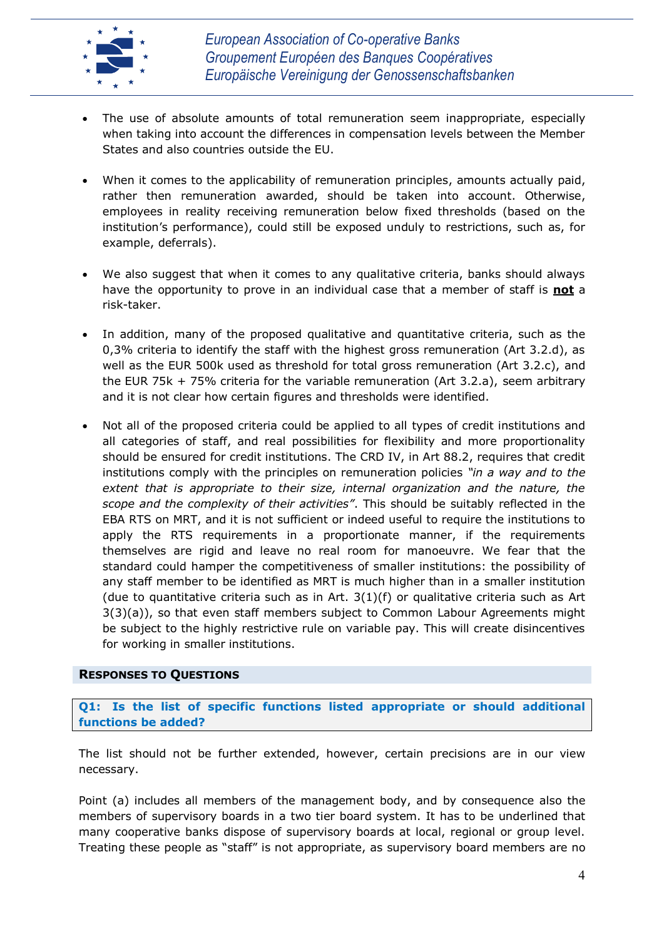

- The use of absolute amounts of total remuneration seem inappropriate, especially when taking into account the differences in compensation levels between the Member States and also countries outside the EU.
- When it comes to the applicability of remuneration principles, amounts actually paid, rather then remuneration awarded, should be taken into account. Otherwise, employees in reality receiving remuneration below fixed thresholds (based on the institution's performance), could still be exposed unduly to restrictions, such as, for example, deferrals).
- We also suggest that when it comes to any qualitative criteria, banks should always have the opportunity to prove in an individual case that a member of staff is **not** a risk-taker.
- In addition, many of the proposed qualitative and quantitative criteria, such as the 0,3% criteria to identify the staff with the highest gross remuneration (Art 3.2.d), as well as the EUR 500k used as threshold for total gross remuneration (Art 3.2.c), and the EUR 75k + 75% criteria for the variable remuneration (Art 3.2.a), seem arbitrary and it is not clear how certain figures and thresholds were identified.
- Not all of the proposed criteria could be applied to all types of credit institutions and all categories of staff, and real possibilities for flexibility and more proportionality should be ensured for credit institutions. The CRD IV, in Art 88.2, requires that credit institutions comply with the principles on remuneration policies *"in a way and to the extent that is appropriate to their size, internal organization and the nature, the scope and the complexity of their activities"*. This should be suitably reflected in the EBA RTS on MRT, and it is not sufficient or indeed useful to require the institutions to apply the RTS requirements in a proportionate manner, if the requirements themselves are rigid and leave no real room for manoeuvre. We fear that the standard could hamper the competitiveness of smaller institutions: the possibility of any staff member to be identified as MRT is much higher than in a smaller institution (due to quantitative criteria such as in Art.  $3(1)(f)$  or qualitative criteria such as Art 3(3)(a)), so that even staff members subject to Common Labour Agreements might be subject to the highly restrictive rule on variable pay. This will create disincentives for working in smaller institutions.

## **RESPONSES TO QUESTIONS**

**Q1: Is the list of specific functions listed appropriate or should additional functions be added?**

The list should not be further extended, however, certain precisions are in our view necessary.

Point (a) includes all members of the management body, and by consequence also the members of supervisory boards in a two tier board system. It has to be underlined that many cooperative banks dispose of supervisory boards at local, regional or group level. Treating these people as "staff" is not appropriate, as supervisory board members are no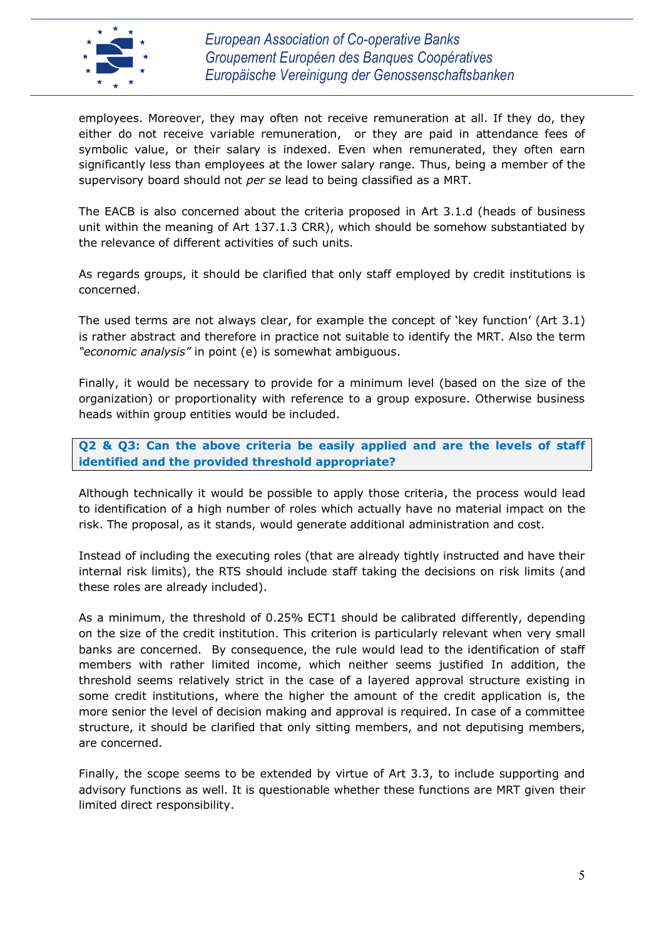

*European Association of Co-operative Banks Groupement Européen des Banques Coopératives Europäische Vereinigung der Genossenschaftsbanken*

employees. Moreover, they may often not receive remuneration at all. If they do, they either do not receive variable remuneration, or they are paid in attendance fees of symbolic value, or their salary is indexed. Even when remunerated, they often earn significantly less than employees at the lower salary range. Thus, being a member of the supervisory board should not *per se* lead to being classified as a MRT.

The EACB is also concerned about the criteria proposed in Art 3.1.d (heads of business unit within the meaning of Art 137.1.3 CRR), which should be somehow substantiated by the relevance of different activities of such units.

As regards groups, it should be clarified that only staff employed by credit institutions is concerned.

The used terms are not always clear, for example the concept of 'key function' (Art 3.1) is rather abstract and therefore in practice not suitable to identify the MRT. Also the term *"economic analysis"* in point (e) is somewhat ambiguous.

Finally, it would be necessary to provide for a minimum level (based on the size of the organization) or proportionality with reference to a group exposure. Otherwise business heads within group entities would be included.

**Q2 & Q3: Can the above criteria be easily applied and are the levels of staff identified and the provided threshold appropriate?**

Although technically it would be possible to apply those criteria, the process would lead to identification of a high number of roles which actually have no material impact on the risk. The proposal, as it stands, would generate additional administration and cost.

Instead of including the executing roles (that are already tightly instructed and have their internal risk limits), the RTS should include staff taking the decisions on risk limits (and these roles are already included).

As a minimum, the threshold of 0.25% ECT1 should be calibrated differently, depending on the size of the credit institution. This criterion is particularly relevant when very small banks are concerned. By consequence, the rule would lead to the identification of staff members with rather limited income, which neither seems justified In addition, the threshold seems relatively strict in the case of a layered approval structure existing in some credit institutions, where the higher the amount of the credit application is, the more senior the level of decision making and approval is required. In case of a committee structure, it should be clarified that only sitting members, and not deputising members, are concerned.

Finally, the scope seems to be extended by virtue of Art 3.3, to include supporting and advisory functions as well. It is questionable whether these functions are MRT given their limited direct responsibility.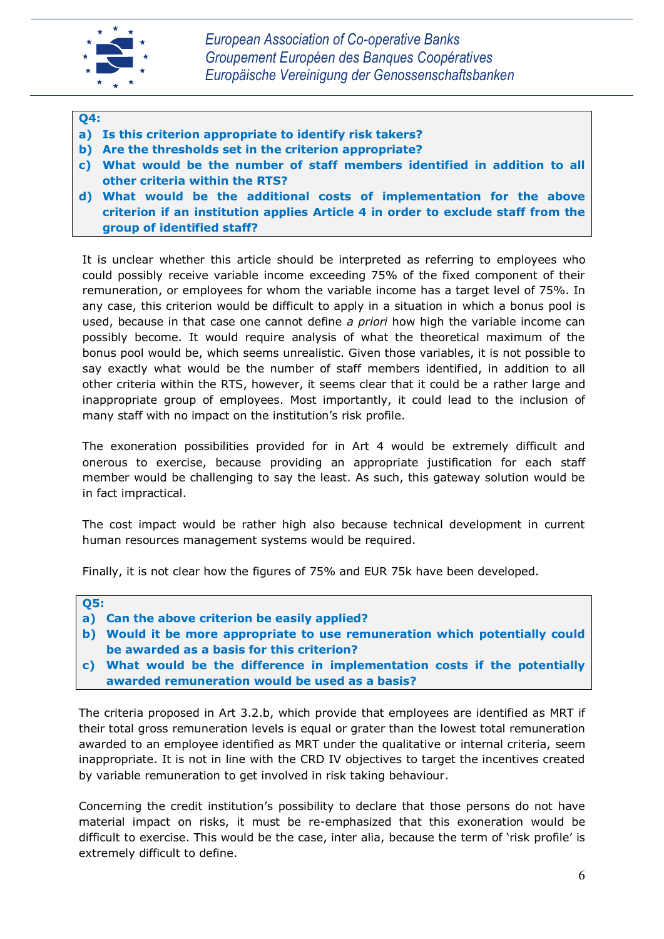

#### **Q4:**

- **a) Is this criterion appropriate to identify risk takers?**
- **b) Are the thresholds set in the criterion appropriate?**
- **c) What would be the number of staff members identified in addition to all other criteria within the RTS?**
- **d) What would be the additional costs of implementation for the above criterion if an institution applies Article 4 in order to exclude staff from the group of identified staff?**

It is unclear whether this article should be interpreted as referring to employees who could possibly receive variable income exceeding 75% of the fixed component of their remuneration, or employees for whom the variable income has a target level of 75%. In any case, this criterion would be difficult to apply in a situation in which a bonus pool is used, because in that case one cannot define *a priori* how high the variable income can possibly become. It would require analysis of what the theoretical maximum of the bonus pool would be, which seems unrealistic. Given those variables, it is not possible to say exactly what would be the number of staff members identified, in addition to all other criteria within the RTS, however, it seems clear that it could be a rather large and inappropriate group of employees. Most importantly, it could lead to the inclusion of many staff with no impact on the institution's risk profile.

The exoneration possibilities provided for in Art 4 would be extremely difficult and onerous to exercise, because providing an appropriate justification for each staff member would be challenging to say the least. As such, this gateway solution would be in fact impractical.

The cost impact would be rather high also because technical development in current human resources management systems would be required.

Finally, it is not clear how the figures of 75% and EUR 75k have been developed.

#### **Q5:**

- **a) Can the above criterion be easily applied?**
- **b) Would it be more appropriate to use remuneration which potentially could be awarded as a basis for this criterion?**
- **c) What would be the difference in implementation costs if the potentially awarded remuneration would be used as a basis?**

The criteria proposed in Art 3.2.b, which provide that employees are identified as MRT if their total gross remuneration levels is equal or grater than the lowest total remuneration awarded to an employee identified as MRT under the qualitative or internal criteria, seem inappropriate. It is not in line with the CRD IV objectives to target the incentives created by variable remuneration to get involved in risk taking behaviour.

Concerning the credit institution's possibility to declare that those persons do not have material impact on risks, it must be re-emphasized that this exoneration would be difficult to exercise. This would be the case, inter alia, because the term of 'risk profile' is extremely difficult to define.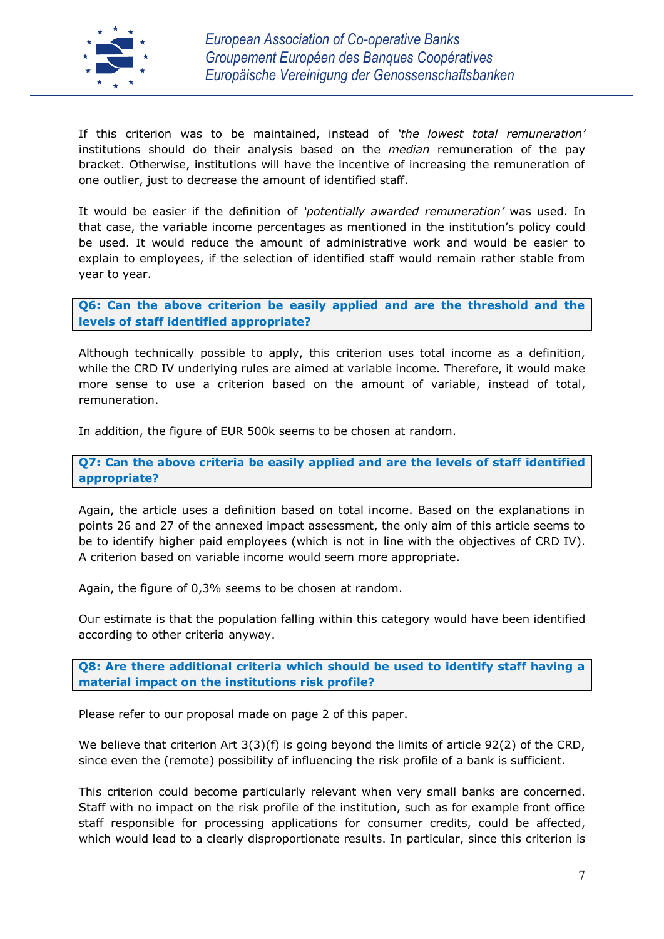

If this criterion was to be maintained, instead of *'the lowest total remuneration'* institutions should do their analysis based on the *median* remuneration of the pay bracket. Otherwise, institutions will have the incentive of increasing the remuneration of one outlier, just to decrease the amount of identified staff.

It would be easier if the definition of *'potentially awarded remuneration'* was used. In that case, the variable income percentages as mentioned in the institution's policy could be used. It would reduce the amount of administrative work and would be easier to explain to employees, if the selection of identified staff would remain rather stable from year to year.

**Q6: Can the above criterion be easily applied and are the threshold and the levels of staff identified appropriate?**

Although technically possible to apply, this criterion uses total income as a definition, while the CRD IV underlying rules are aimed at variable income. Therefore, it would make more sense to use a criterion based on the amount of variable, instead of total, remuneration.

In addition, the figure of EUR 500k seems to be chosen at random.

**Q7: Can the above criteria be easily applied and are the levels of staff identified appropriate?**

Again, the article uses a definition based on total income. Based on the explanations in points 26 and 27 of the annexed impact assessment, the only aim of this article seems to be to identify higher paid employees (which is not in line with the objectives of CRD IV). A criterion based on variable income would seem more appropriate.

Again, the figure of 0,3% seems to be chosen at random.

Our estimate is that the population falling within this category would have been identified according to other criteria anyway.

**Q8: Are there additional criteria which should be used to identify staff having a material impact on the institutions risk profile?**

Please refer to our proposal made on page 2 of this paper.

We believe that criterion Art 3(3)(f) is going beyond the limits of article 92(2) of the CRD, since even the (remote) possibility of influencing the risk profile of a bank is sufficient.

This criterion could become particularly relevant when very small banks are concerned. Staff with no impact on the risk profile of the institution, such as for example front office staff responsible for processing applications for consumer credits, could be affected, which would lead to a clearly disproportionate results. In particular, since this criterion is